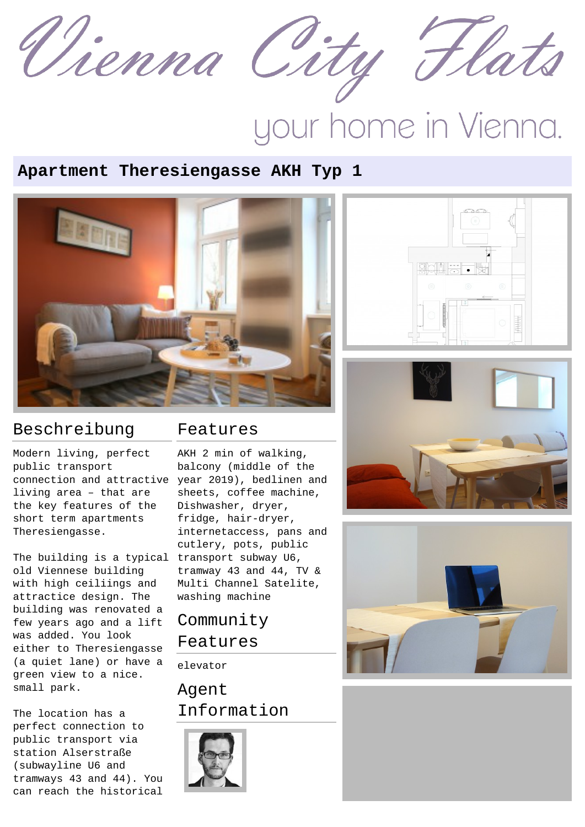

# your home in Vienna.

#### **Apartment Theresiengasse AKH Typ 1**



## Beschreibung

Modern living, perfect public transport connection and attractive year 2019), bedlinen and living area – that are the key features of the short term apartments Theresiengasse.

The building is a typical transport subway U6, old Viennese building with high ceiliings and attractice design. The building was renovated a few years ago and a lift was added. You look either to Theresiengasse (a quiet lane) or have a green view to a nice. small park.

The location has a perfect connection to public transport via station Alserstraße (subwayline U6 and tramways 43 and 44). You can reach the historical

#### Features

AKH 2 min of walking, balcony (middle of the sheets, coffee machine, Dishwasher, dryer, fridge, hair-dryer, internetaccess, pans and cutlery, pots, public tramway 43 and 44, TV & Multi Channel Satelite, washing machine

# Community Features

elevator

### Agent Information





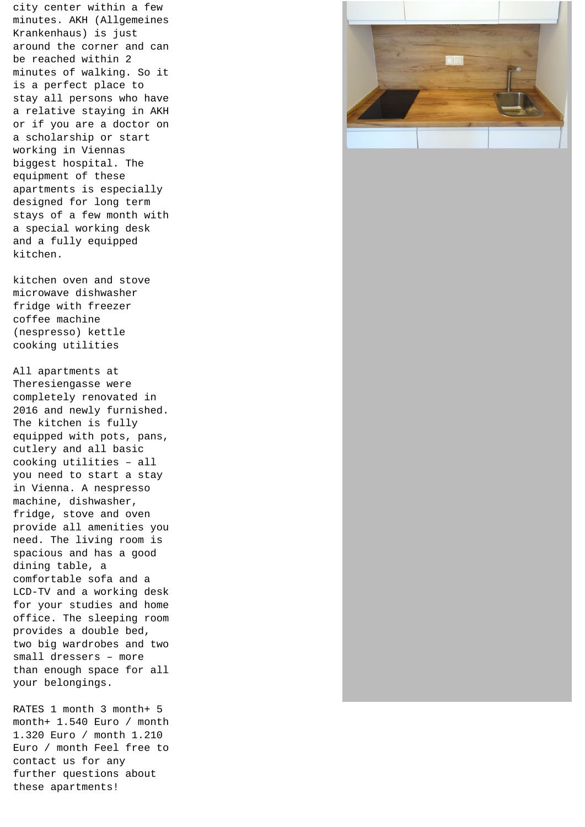city center within a few minutes. AKH (Allgemeines Krankenhaus) is just around the corner and can be reached within 2 minutes of walking. So it is a perfect place to stay all persons who have a relative staying in AKH or if you are a doctor on a scholarship or start working in Viennas biggest hospital. The equipment of these apartments is especially designed for long term stays of a few month with a special working desk and a fully equipped kitchen.

kitchen oven and stove microwave dishwasher fridge with freezer coffee machine (nespresso) kettle cooking utilities

All apartments at Theresiengasse were completely renovated in 2016 and newly furnished. The kitchen is fully equipped with pots, pans, cutlery and all basic cooking utilities – all you need to start a stay in Vienna. A nespresso machine, dishwasher, fridge, stove and oven provide all amenities you need. The living room is spacious and has a good dining table, a comfortable sofa and a LCD-TV and a working desk for your studies and home office. The sleeping room provides a double bed, two big wardrobes and two small dressers – more than enough space for all your belongings.



RATES 1 month 3 month+ 5 month+ 1.540 Euro / month 1.320 Euro / month 1.210 Euro / month Feel free to contact us for any further questions about these apartments!